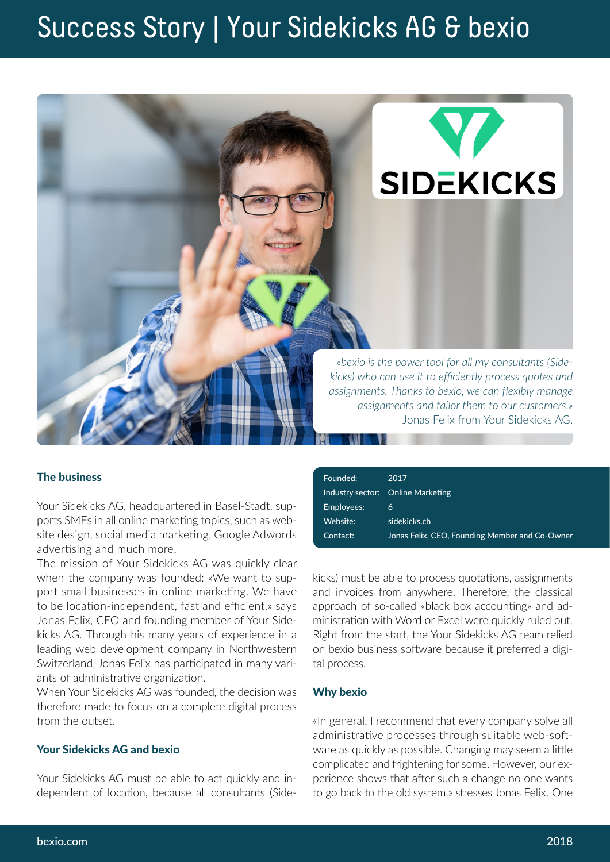# Success Story | Your Sidekicks AG & bexio



## The business

Your Sidekicks AG, headquartered in Basel-Stadt, supports SMEs in all online marketing topics, such as website design, social media marketing, Google Adwords advertising and much more.

The mission of Your Sidekicks AG was quickly clear when the company was founded: «We want to support small businesses in online marketing. We have to be location-independent, fast and efficient,» says Jonas Felix, CEO and founding member of Your Sidekicks AG. Through his many years of experience in a leading web development company in Northwestern Switzerland, Jonas Felix has participated in many variants of administrative organization.

When Your Sidekicks AG was founded, the decision was therefore made to focus on a complete digital process from the outset.

## Your Sidekicks AG and bexio

Your Sidekicks AG must be able to act quickly and independent of location, because all consultants (Side-

| Founded:   | 2017                                           |
|------------|------------------------------------------------|
|            | Industry sector: Online Marketing              |
| Employees: | 6                                              |
| Website:   | sidekicks.ch                                   |
| Contact:   | Jonas Felix, CEO, Founding Member and Co-Owner |
|            |                                                |

kicks) must be able to process quotations, assignments and invoices from anywhere. Therefore, the classical approach of so-called «black box accounting» and administration with Word or Excel were quickly ruled out. Right from the start, the Your Sidekicks AG team relied on bexio business software because it preferred a digital process.

#### Why bexio

«In general, I recommend that every company solve all administrative processes through suitable web-software as quickly as possible. Changing may seem a little complicated and frightening for some. However, our experience shows that after such a change no one wants to go back to the old system.» stresses Jonas Felix. One